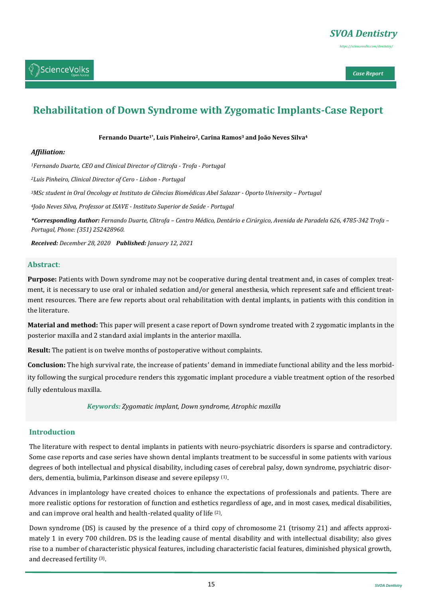

# **Rehabilitation of Down Syndrome with Zygomatic Implants-Case Report**

**Fernando Duarte1\*, Luis Pinheiro2, Carina Ramos<sup>3</sup> and João Neves Silva<sup>4</sup>**

#### *Affiliation:*

*<sup>1</sup>Fernando Duarte, CEO and Clinical Director of Clitrofa - Trofa - Portugal*

*<sup>2</sup>Luis Pinheiro, Clinical Director of Cero - Lisbon - Portugal*

*<sup>3</sup>MSc student in Oral Oncology at Instituto de Ciências Biomédicas Abel Salazar - Oporto University – Portugal*

*<sup>4</sup>João Neves Silva, Professor at ISAVE - Instituto Superior de Saúde - Portugal*

*\*Corresponding Author: Fernando Duarte, Clitrofa – Centro Médico, Dentário e Cirúrgico, Avenida de Paradela 626, 4785-342 Trofa – Portugal, Phone: (351) 252428960.*

*Received: December 28, 2020 Published: January 12, 2021* 

#### **Abstract**:

**Purpose:** Patients with Down syndrome may not be cooperative during dental treatment and, in cases of complex treatment, it is necessary to use oral or inhaled sedation and/or general anesthesia, which represent safe and efficient treatment resources. There are few reports about oral rehabilitation with dental implants, in patients with this condition in the literature.

**Material and method:** This paper will present a case report of Down syndrome treated with 2 zygomatic implants in the posterior maxilla and 2 standard axial implants in the anterior maxilla.

**Result:** The patient is on twelve months of postoperative without complaints.

**Conclusion:** The high survival rate, the increase of patients' demand in immediate functional ability and the less morbidity following the surgical procedure renders this zygomatic implant procedure a viable treatment option of the resorbed fully edentulous maxilla.

*Keywords: Zygomatic implant, Down syndrome, Atrophic maxilla*

#### **Introduction**

The literature with respect to dental implants in patients with neuro-psychiatric disorders is sparse and contradictory. Some case reports and case series have shown dental implants treatment to be successful in some patients with various degrees of both intellectual and physical disability, including cases of cerebral palsy, down syndrome, psychiatric disorders, dementia, bulimia, Parkinson disease and severe epilepsy <sup>(1)</sup>.

Advances in implantology have created choices to enhance the expectations of professionals and patients. There are more realistic options for restoration of function and esthetics regardless of age, and in most cases, medical disabilities, and can improve oral health and health-related quality of life <sup>(2)</sup>.

Down syndrome (DS) is caused by the presence of a third copy of chromosome 21 (trisomy 21) and affects approximately 1 in every 700 children. DS is the leading cause of mental disability and with intellectual disability; also gives rise to a number of characteristic physical features, including characteristic facial features, diminished physical growth, and decreased fertility (3).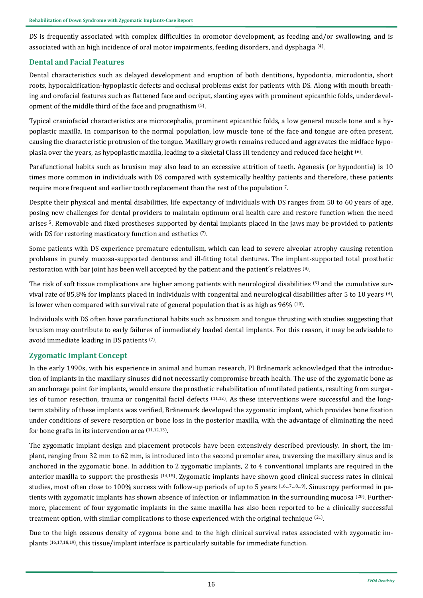DS is frequently associated with complex difficulties in oromotor development, as feeding and/or swallowing, and is associated with an high incidence of oral motor impairments, feeding disorders, and dysphagia (4) .

## **Dental and Facial Features**

Dental characteristics such as delayed development and eruption of both dentitions, hypodontia, microdontia, short roots, hypocalcification-hypoplastic defects and occlusal problems exist for patients with DS. Along with mouth breathing and orofacial features such as flattened face and occiput, slanting eyes with prominent epicanthic folds, underdevelopment of the middle third of the face and prognathism <sup>(5)</sup>.

Typical craniofacial characteristics are microcephalia, prominent epicanthic folds, a low general muscle tone and a hypoplastic maxilla. In comparison to the normal population, low muscle tone of the face and tongue are often present, causing the characteristic protrusion of the tongue. Maxillary growth remains reduced and aggravates the midface hypoplasia over the years, as hypoplastic maxilla, leading to a skeletal Class III tendency and reduced face height (6) .

Parafunctional habits such as bruxism may also lead to an excessive attrition of teeth. Agenesis (or hypodontia) is 10 times more common in individuals with DS compared with systemically healthy patients and therefore, these patients require more frequent and earlier tooth replacement than the rest of the population 7.

Despite their physical and mental disabilities, life expectancy of individuals with DS ranges from 50 to 60 years of age, posing new challenges for dental providers to maintain optimum oral health care and restore function when the need arises 5. Removable and fixed prostheses supported by dental implants placed in the jaws may be provided to patients with DS for restoring masticatory function and esthetics <sup>(7)</sup>.

Some patients with DS experience premature edentulism, which can lead to severe alveolar atrophy causing retention problems in purely mucosa-supported dentures and ill-fitting total dentures. The implant-supported total prosthetic restoration with bar joint has been well accepted by the patient and the patient's relatives <sup>(8)</sup>.

The risk of soft tissue complications are higher among patients with neurological disabilities (5) and the cumulative survival rate of 85,8% for implants placed in individuals with congenital and neurological disabilities after 5 to 10 years (9), is lower when compared with survival rate of general population that is as high as  $96\%$   $^{(10)}$ .

Individuals with DS often have parafunctional habits such as bruxism and tongue thrusting with studies suggesting that bruxism may contribute to early failures of immediately loaded dental implants. For this reason, it may be advisable to avoid immediate loading in DS patients (7) .

# **Zygomatic Implant Concept**

In the early 1990s, with his experience in animal and human research, PI Brånemark acknowledged that the introduction of implants in the maxillary sinuses did not necessarily compromise breath health. The use of the zygomatic bone as an anchorage point for implants, would ensure the prosthetic rehabilitation of mutilated patients, resulting from surgeries of tumor resection, trauma or congenital facial defects (11,12). As these interventions were successful and the longterm stability of these implants was verified, Brånemark developed the zygomatic implant, which provides bone fixation under conditions of severe resorption or bone loss in the posterior maxilla, with the advantage of eliminating the need for bone grafts in its intervention area <sup>(11,12,13)</sup>.

The zygomatic implant design and placement protocols have been extensively described previously. In short, the implant, ranging from 32 mm to 62 mm, is introduced into the second premolar area, traversing the maxillary sinus and is anchored in the zygomatic bone. In addition to 2 zygomatic implants, 2 to 4 conventional implants are required in the anterior maxilla to support the prosthesis (14,15). Zygomatic implants have shown good clinical success rates in clinical studies, most often close to 100% success with follow-up periods of up to 5 years (16,17,18,19). Sinuscopy performed in patients with zygomatic implants has shown absence of infection or inflammation in the surrounding mucosa (20). Furthermore, placement of four zygomatic implants in the same maxilla has also been reported to be a clinically successful treatment option, with similar complications to those experienced with the original technique <sup>(21)</sup>.

Due to the high osseous density of zygoma bone and to the high clinical survival rates associated with zygomatic implants (16,17,18,19), this tissue/implant interface is particularly suitable for immediate function.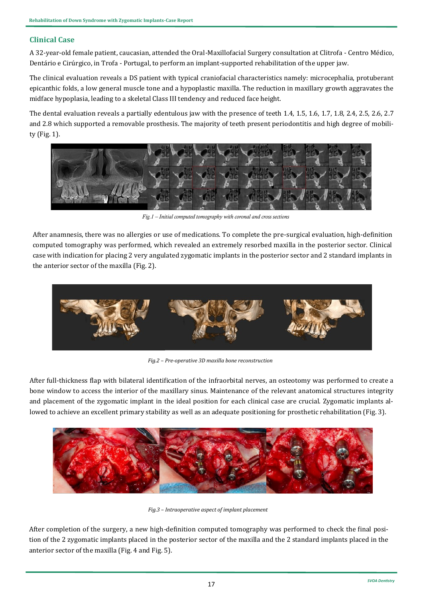# **Clinical Case**

A 32-year-old female patient, caucasian, attended the Oral-Maxillofacial Surgery consultation at Clitrofa - Centro Médico, Dentário e Cirúrgico, in Trofa - Portugal, to perform an implant-supported rehabilitation of the upper jaw.

The clinical evaluation reveals a DS patient with typical craniofacial characteristics namely: microcephalia, protuberant epicanthic folds, a low general muscle tone and a hypoplastic maxilla. The reduction in maxillary growth aggravates the midface hypoplasia, leading to a skeletal Class III tendency and reduced face height.

The dental evaluation reveals a partially edentulous jaw with the presence of teeth 1.4, 1.5, 1.6, 1.7, 1.8, 2.4, 2.5, 2.6, 2.7 and 2.8 which supported a removable prosthesis. The majority of teeth present periodontitis and high degree of mobility (Fig. 1).



*Fig.1 – Initial computed tomography with coronal and cross sections*

After anamnesis, there was no allergies or use of medications. To complete the pre-surgical evaluation, high-definition computed tomography was performed, which revealed an extremely resorbed maxilla in the posterior sector. Clinical case with indication for placing 2 very angulated zygomatic implants in the posterior sector and 2 standard implants in the anterior sector of the maxilla (Fig. 2).



*Fig.2 – Pre-operative 3D maxilla bone reconstruction*

After full-thickness flap with bilateral identification of the infraorbital nerves, an osteotomy was performed to create a bone window to access the interior of the maxillary sinus. Maintenance of the relevant anatomical structures integrity and placement of the zygomatic implant in the ideal position for each clinical case are crucial. Zygomatic implants allowed to achieve an excellent primary stability as well as an adequate positioning for prosthetic rehabilitation (Fig. 3).



*Fig.3 – Intraoperative aspect of implant placement*

After completion of the surgery, a new high-definition computed tomography was performed to check the final position of the 2 zygomatic implants placed in the posterior sector of the maxilla and the 2 standard implants placed in the anterior sector of the maxilla (Fig. 4 and Fig. 5).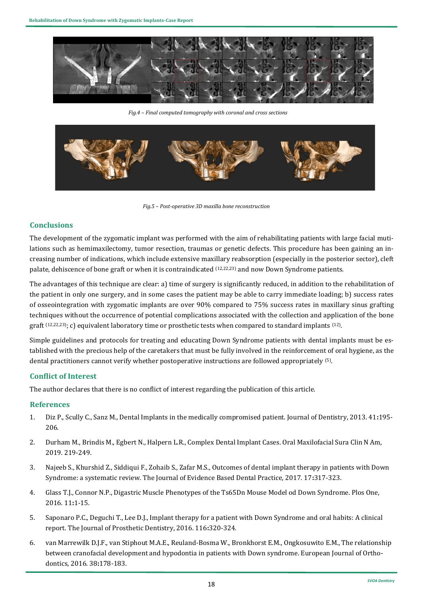

*Fig.4 – Final computed tomography with coronal and cross sections*



*Fig.5 – Post-operative 3D maxilla bone reconstruction*

## **Conclusions**

The development of the zygomatic implant was performed with the aim of rehabilitating patients with large facial mutilations such as hemimaxilectomy, tumor resection, traumas or genetic defects. This procedure has been gaining an increasing number of indications, which include extensive maxillary reabsorption (especially in the posterior sector), cleft palate, dehiscence of bone graft or when it is contraindicated (12,22,23) and now Down Syndrome patients.

The advantages of this technique are clear: a) time of surgery is significantly reduced, in addition to the rehabilitation of the patient in only one surgery, and in some cases the patient may be able to carry immediate loading; b) success rates of osseointegration with zygomatic implants are over 90% compared to 75% success rates in maxillary sinus grafting techniques without the occurrence of potential complications associated with the collection and application of the bone graft  $(12,22,23)$ ; c) equivalent laboratory time or prosthetic tests when compared to standard implants  $(12)$ .

Simple guidelines and protocols for treating and educating Down Syndrome patients with dental implants must be established with the precious help of the caretakers that must be fully involved in the reinforcement of oral hygiene, as the dental practitioners cannot verify whether postoperative instructions are followed appropriately <sup>(5)</sup>.

# **Conflict of Interest**

The author declares that there is no conflict of interest regarding the publication of this article.

#### **References**

- 1. [Diz P., Scully C., Sanz M., Dental Implants in the medically compromised patient. Journal of Dentistry, 2013. 41](https://pubmed.ncbi.nlm.nih.gov/23313715/)**:**195- [206.](https://pubmed.ncbi.nlm.nih.gov/23313715/)
- 2. [Durham M., Brindis M., Egbert N., Halpern L.R., Complex Dental Implant Cases. Oral Maxilofacial Sura Clin N Am,](https://pubmed.ncbi.nlm.nih.gov/30947848/)  [2019. 219](https://pubmed.ncbi.nlm.nih.gov/30947848/)-249.
- 3. [Najeeb S., Khurshid Z., Siddiqui F., Zohaib S., Zafar M.S., Outcomes of dental implant therapy in patients with Down](https://europepmc.org/article/med/29197433)  [Syndrome: a systematic review. The Journal of Evidence Based Dental Practice, 2017. 17](https://europepmc.org/article/med/29197433)**:**317-323.
- 4. [Glass T.J., Connor N.P., Digastric Muscle Phenotypes of the Ts65Dn Mouse Model od Down Syndrome. Plos One,](https://pubmed.ncbi.nlm.nih.gov/27336944/)  [2016. 11](https://pubmed.ncbi.nlm.nih.gov/27336944/)**:**1-15.
- 5. [Saponaro P.C., Deguchi T., Lee D.J., Implant therapy for a patient with Down Syndrome and oral habits: A clinical](https://pubmed.ncbi.nlm.nih.gov/27132787/)  [report. The Journal of Prosthetic Dentistry, 2016. 116](https://pubmed.ncbi.nlm.nih.gov/27132787/)**:**320-324.
- 6. van Marrewilk D.J.F., van Stiphout M.A.E., Reuland-[Bosma W., Bronkhorst E.M., Ongkosuwito E.M., The relationship](https://pubmed.ncbi.nlm.nih.gov/26275771/#:~:text=Conclusion%3A%20The%20process%20of%20growth,strongly%20influences%20the%20jaw%20relationship.)  [between cranofacial development and hypodontia in patients with Down syndrome. European Journal of Ortho](https://pubmed.ncbi.nlm.nih.gov/26275771/#:~:text=Conclusion%3A%20The%20process%20of%20growth,strongly%20influences%20the%20jaw%20relationship.)[dontics, 2016. 38](https://pubmed.ncbi.nlm.nih.gov/26275771/#:~:text=Conclusion%3A%20The%20process%20of%20growth,strongly%20influences%20the%20jaw%20relationship.)**:**178-183.